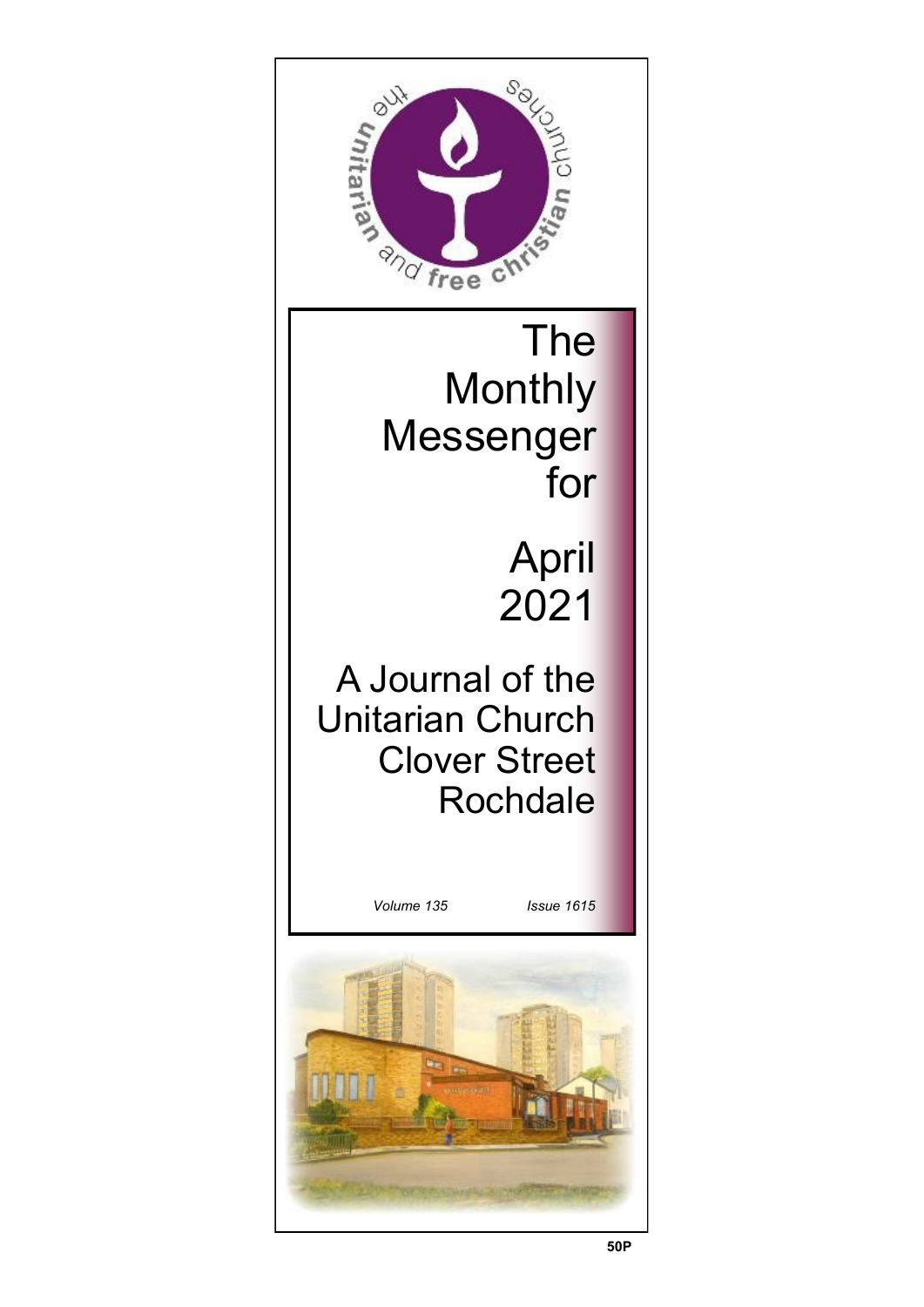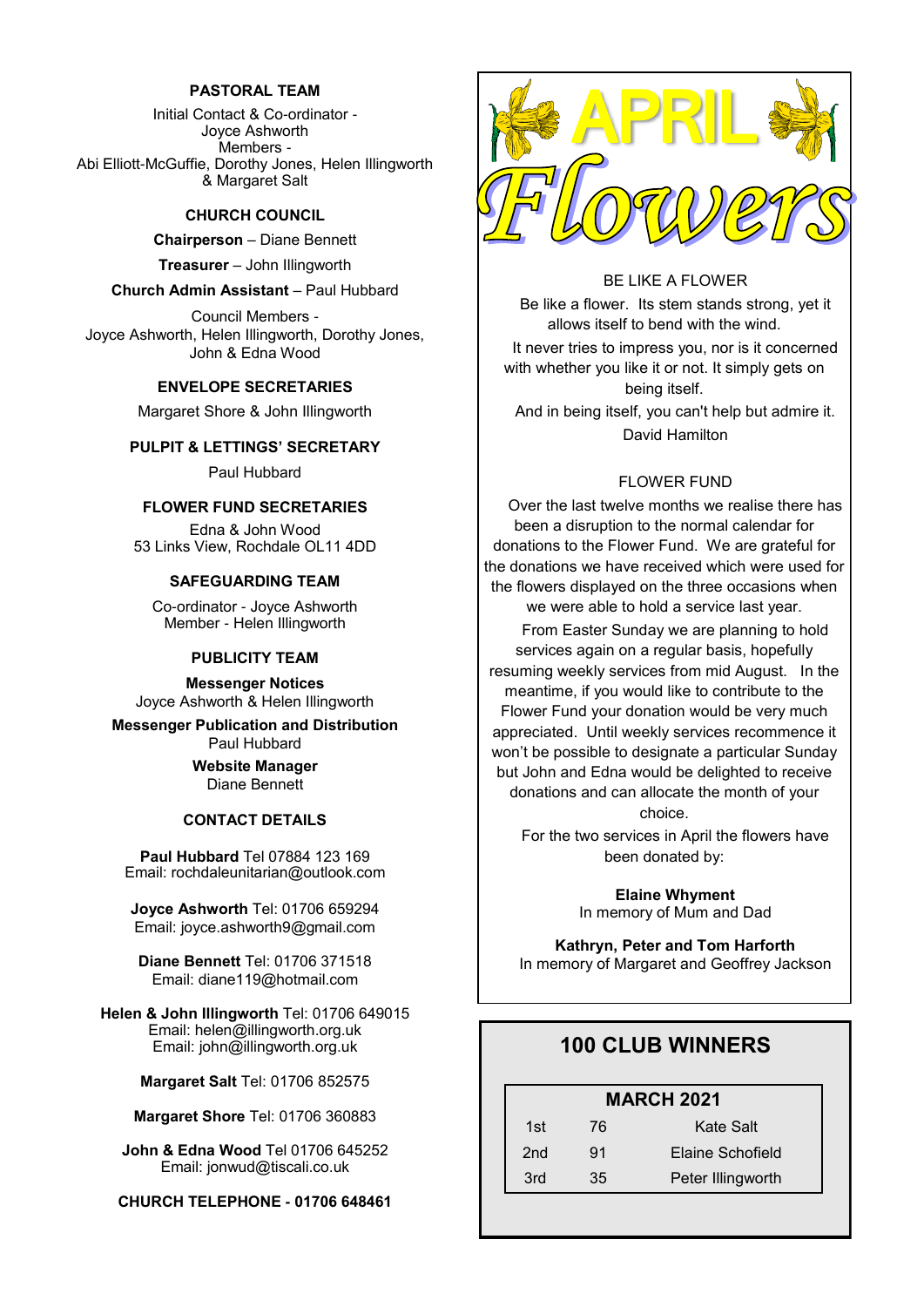#### **PASTORAL TEAM**

Initial Contact & Co-ordinator - Joyce Ashworth Members - Abi Elliott-McGuffie, Dorothy Jones, Helen Illingworth & Margaret Salt

#### **CHURCH COUNCIL**

**Chairperson** – Diane Bennett

**Treasurer** – John Illingworth

**Church Admin Assistant** – Paul Hubbard

Council Members - Joyce Ashworth, Helen Illingworth, Dorothy Jones, John & Edna Wood

#### **ENVELOPE SECRETARIES**

Margaret Shore & John Illingworth

#### **PULPIT & LETTINGS' SECRETARY**

Paul Hubbard

#### **FLOWER FUND SECRETARIES**

Edna & John Wood 53 Links View, Rochdale OL11 4DD

#### **SAFEGUARDING TEAM**

Co-ordinator - Joyce Ashworth Member - Helen Illingworth

#### **PUBLICITY TEAM**

**Messenger Notices** Joyce Ashworth & Helen Illingworth

**Messenger Publication and Distribution** Paul Hubbard

> **Website Manager**  Diane Bennett

#### **CONTACT DETAILS**

**Paul Hubbard** Tel 07884 123 169 Email: rochdaleunitarian@outlook.com

**Joyce Ashworth** Tel: 01706 659294 Email: joyce.ashworth9@gmail.com

**Diane Bennett** Tel: 01706 371518 Email: diane119@hotmail.com

**Helen & John Illingworth** Tel: 01706 649015 Email: helen@illingworth.org.uk Email: john@illingworth.org.uk

**Margaret Salt** Tel: 01706 852575

**Margaret Shore** Tel: 01706 360883

**John & Edna Wood** Tel 01706 645252 Email: jonwud@tiscali.co.uk

**CHURCH TELEPHONE - 01706 648461**



### BE LIKE A FLOWER

Be like a flower. Its stem stands strong, yet it allows itself to bend with the wind. It never tries to impress you, nor is it concerned with whether you like it or not. It simply gets on being itself. And in being itself, you can't help but admire it. David Hamilton

#### FLOWER FUND

Over the last twelve months we realise there has been a disruption to the normal calendar for donations to the Flower Fund. We are grateful for the donations we have received which were used for the flowers displayed on the three occasions when we were able to hold a service last year.

From Easter Sunday we are planning to hold services again on a regular basis, hopefully resuming weekly services from mid August. In the meantime, if you would like to contribute to the Flower Fund your donation would be very much appreciated. Until weekly services recommence it won't be possible to designate a particular Sunday but John and Edna would be delighted to receive donations and can allocate the month of your choice.

For the two services in April the flowers have been donated by:

> **Elaine Whyment** In memory of Mum and Dad

**Kathryn, Peter and Tom Harforth** In memory of Margaret and Geoffrey Jackson

## **100 CLUB WINNERS**

## **MARCH 2021**

| 1st             | 76 | Kate Salt         |
|-----------------|----|-------------------|
| 2 <sub>nd</sub> | 91 | Elaine Schofield  |
| 3rd             | 35 | Peter Illingworth |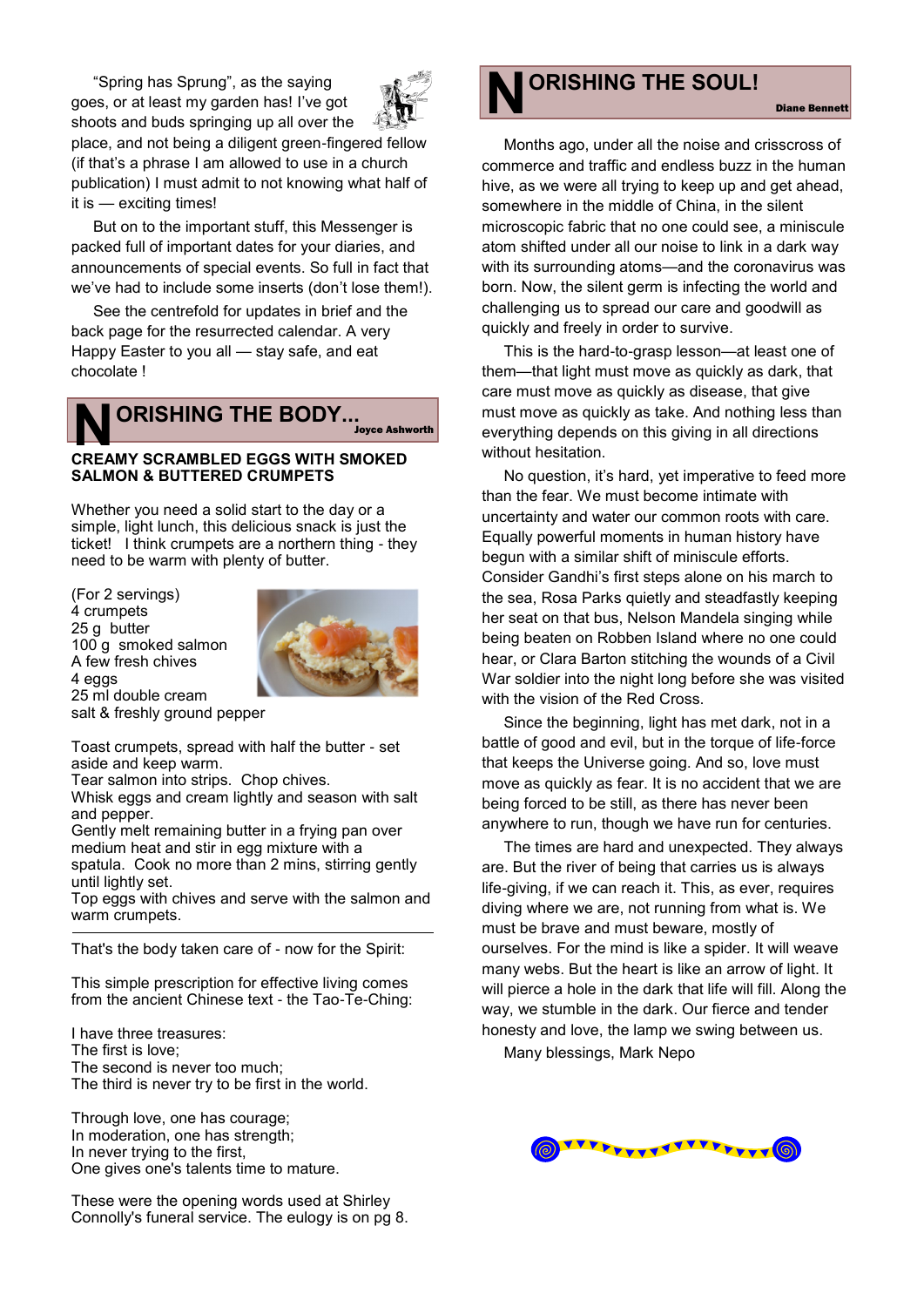"Spring has Sprung", as the saying goes, or at least my garden has! I've got



shoots and buds springing up all over the place, and not being a diligent green-fingered fellow (if that's a phrase I am allowed to use in a church publication) I must admit to not knowing what half of it is — exciting times!

But on to the important stuff, this Messenger is packed full of important dates for your diaries, and announcements of special events. So full in fact that we've had to include some inserts (don't lose them!).

See the centrefold for updates in brief and the back page for the resurrected calendar. A very Happy Easter to you all — stay safe, and eat chocolate !

## **NORISHING THE BODY...**<br>CREAMY SCRAMBLED EGGS WITH SMOKED **ORISHING THE BODY...** Joyce Ashworth

# **SALMON & BUTTERED CRUMPETS**

Whether you need a solid start to the day or a simple, light lunch, this delicious snack is just the ticket! I think crumpets are a northern thing - they need to be warm with plenty of butter.

(For 2 servings) 4 crumpets 25 g butter 100 g smoked salmon A few fresh chives 4 eggs 25 ml double cream



salt & freshly ground pepper

Toast crumpets, spread with half the butter - set aside and keep warm.

Tear salmon into strips. Chop chives.

Whisk eggs and cream lightly and season with salt and pepper.

Gently melt remaining butter in a frying pan over medium heat and stir in egg mixture with a spatula. Cook no more than 2 mins, stirring gently until lightly set.

Top eggs with chives and serve with the salmon and warm crumpets.

That's the body taken care of - now for the Spirit:

This simple prescription for effective living comes from the ancient Chinese text - the Tao-Te-Ching:

I have three treasures: The first is love; The second is never too much; The third is never try to be first in the world.

Through love, one has courage; In moderation, one has strength; In never trying to the first, One gives one's talents time to mature.

These were the opening words used at Shirley Connolly's funeral service. The eulogy is on pg 8.



Months ago, under all the noise and crisscross of commerce and traffic and endless buzz in the human hive, as we were all trying to keep up and get ahead, somewhere in the middle of China, in the silent microscopic fabric that no one could see, a miniscule atom shifted under all our noise to link in a dark way with its surrounding atoms—and the coronavirus was born. Now, the silent germ is infecting the world and challenging us to spread our care and goodwill as quickly and freely in order to survive.

Diane Bennett

This is the hard-to-grasp lesson—at least one of them—that light must move as quickly as dark, that care must move as quickly as disease, that give must move as quickly as take. And nothing less than everything depends on this giving in all directions without hesitation.

No question, it's hard, yet imperative to feed more than the fear. We must become intimate with uncertainty and water our common roots with care. Equally powerful moments in human history have begun with a similar shift of miniscule efforts. Consider Gandhi's first steps alone on his march to the sea, Rosa Parks quietly and steadfastly keeping her seat on that bus, Nelson Mandela singing while being beaten on Robben Island where no one could hear, or Clara Barton stitching the wounds of a Civil War soldier into the night long before she was visited with the vision of the Red Cross.

Since the beginning, light has met dark, not in a battle of good and evil, but in the torque of life-force that keeps the Universe going. And so, love must move as quickly as fear. It is no accident that we are being forced to be still, as there has never been anywhere to run, though we have run for centuries.

The times are hard and unexpected. They always are. But the river of being that carries us is always life-giving, if we can reach it. This, as ever, requires diving where we are, not running from what is. We must be brave and must beware, mostly of ourselves. For the mind is like a spider. It will weave many webs. But the heart is like an arrow of light. It will pierce a hole in the dark that life will fill. Along the way, we stumble in the dark. Our fierce and tender honesty and love, the lamp we swing between us.

Many blessings, Mark Nepo

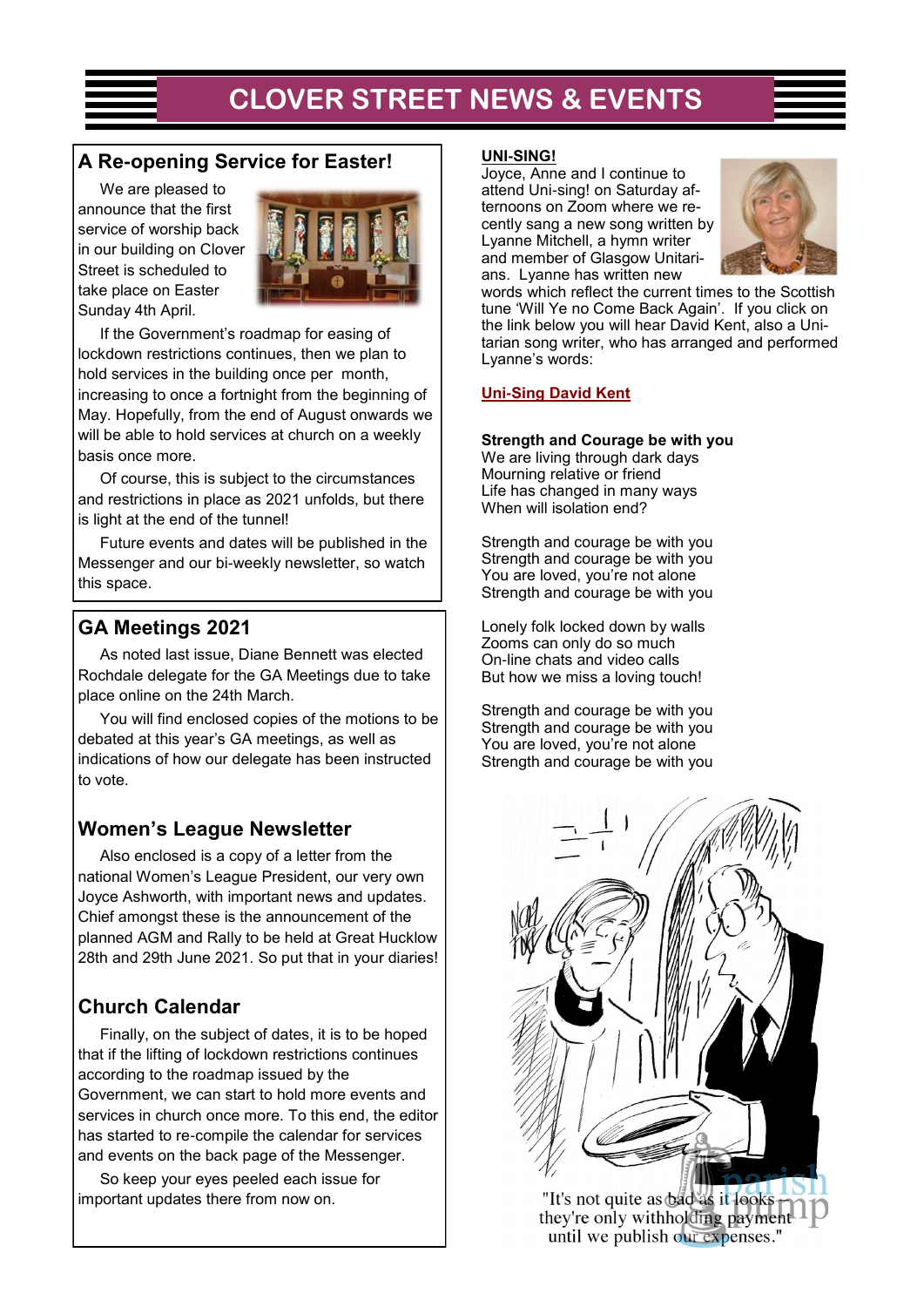## **CLOVER STREET NEWS & EVENTS**

## **A Re-opening Service for Easter!**

We are pleased to announce that the first service of worship back in our building on Clover Street is scheduled to take place on Easter Sunday 4th April.



If the Government's roadmap for easing of lockdown restrictions continues, then we plan to hold services in the building once per month, increasing to once a fortnight from the beginning of May. Hopefully, from the end of August onwards we will be able to hold services at church on a weekly basis once more.

Of course, this is subject to the circumstances and restrictions in place as 2021 unfolds, but there is light at the end of the tunnel!

Future events and dates will be published in the Messenger and our bi-weekly newsletter, so watch this space.

## **GA Meetings 2021**

As noted last issue, Diane Bennett was elected Rochdale delegate for the GA Meetings due to take place online on the 24th March.

You will find enclosed copies of the motions to be debated at this year's GA meetings, as well as indications of how our delegate has been instructed to vote.

## **Women's League Newsletter**

Also enclosed is a copy of a letter from the national Women's League President, our very own Joyce Ashworth, with important news and updates. Chief amongst these is the announcement of the planned AGM and Rally to be held at Great Hucklow 28th and 29th June 2021. So put that in your diaries!

## **Church Calendar**

Finally, on the subject of dates, it is to be hoped that if the lifting of lockdown restrictions continues according to the roadmap issued by the Government, we can start to hold more events and services in church once more. To this end, the editor has started to re-compile the calendar for services and events on the back page of the Messenger.

So keep your eyes peeled each issue for important updates there from now on.

## **UNI-SING!**

Joyce, Anne and I continue to attend Uni-sing! on Saturday afternoons on Zoom where we recently sang a new song written by Lyanne Mitchell, a hymn writer and member of Glasgow Unitarians. Lyanne has written new



words which reflect the current times to the Scottish tune 'Will Ye no Come Back Again'. If you click on the link below you will hear David Kent, also a Unitarian song writer, who has arranged and performed Lyanne's words:

## **[Uni-Sing David Kent](https://uk.video.search.yahoo.com/search/video?fr=mcafee&ei=UTF-8&p=lyanne+mitchell+and+david+kent+strength+and+courage+be+with+you&type=E210GB91082G91369%23id=1&vid=9046a71da8eedd0c645ca4b5e96e1d71&action=click)**

### **Strength and Courage be with you**

We are living through dark days Mourning relative or friend Life has changed in many ways When will isolation end?

Strength and courage be with you Strength and courage be with you You are loved, you're not alone Strength and courage be with you

Lonely folk locked down by walls Zooms can only do so much On-line chats and video calls But how we miss a loving touch!

Strength and courage be with you Strength and courage be with you You are loved, you're not alone Strength and courage be with you



"It's not quite as bad as it looks they're only withholding payment until we publish our expenses."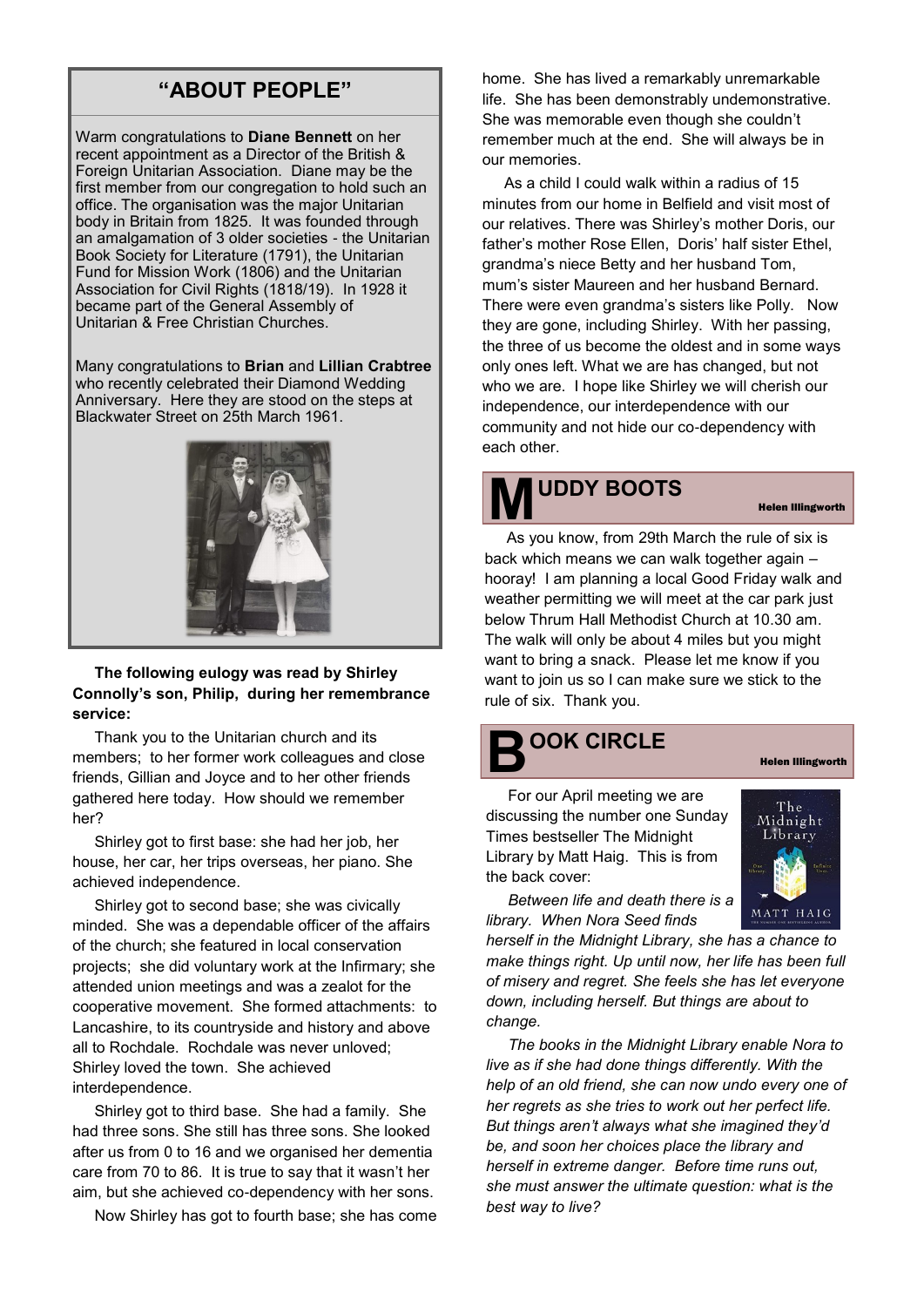## **"ABOUT PEOPLE"**

Warm congratulations to **Diane Bennett** on her recent appointment as a Director of the British & Foreign Unitarian Association. Diane may be the first member from our congregation to hold such an office. The organisation was the major Unitarian body in Britain from 1825. It was founded through an amalgamation of 3 older societies - the Unitarian Book Society for Literature (1791), the Unitarian Fund for Mission Work (1806) and the Unitarian Association for Civil Rights (1818/19). In 1928 it became part of the General Assembly of Unitarian & Free Christian Churches.

Many congratulations to **Brian** and **Lillian Crabtree** who recently celebrated their Diamond Wedding Anniversary. Here they are stood on the steps at Blackwater Street on 25th March 1961.



**The following eulogy was read by Shirley Connolly's son, Philip, during her remembrance service:**

Thank you to the Unitarian church and its members; to her former work colleagues and close friends, Gillian and Joyce and to her other friends gathered here today. How should we remember her?

Shirley got to first base: she had her job, her house, her car, her trips overseas, her piano. She achieved independence.

Shirley got to second base; she was civically minded. She was a dependable officer of the affairs of the church; she featured in local conservation projects; she did voluntary work at the Infirmary; she attended union meetings and was a zealot for the cooperative movement. She formed attachments: to Lancashire, to its countryside and history and above all to Rochdale. Rochdale was never unloved; Shirley loved the town. She achieved interdependence.

Shirley got to third base. She had a family. She had three sons. She still has three sons. She looked after us from 0 to 16 and we organised her dementia care from 70 to 86. It is true to say that it wasn't her aim, but she achieved co-dependency with her sons.

Now Shirley has got to fourth base; she has come

home. She has lived a remarkably unremarkable life. She has been demonstrably undemonstrative. She was memorable even though she couldn't remember much at the end. She will always be in our memories.

As a child I could walk within a radius of 15 minutes from our home in Belfield and visit most of our relatives. There was Shirley's mother Doris, our father's mother Rose Ellen, Doris' half sister Ethel, grandma's niece Betty and her husband Tom, mum's sister Maureen and her husband Bernard. There were even grandma's sisters like Polly. Now they are gone, including Shirley. With her passing, the three of us become the oldest and in some ways only ones left. What we are has changed, but not who we are. I hope like Shirley we will cherish our independence, our interdependence with our community and not hide our co-dependency with each other.

# **MUDDY BOOTS**

#### Helen Illingworth

As you know, from 29th March the rule of six is back which means we can walk together again – hooray! I am planning a local Good Friday walk and weather permitting we will meet at the car park just below Thrum Hall Methodist Church at 10.30 am. The walk will only be about 4 miles but you might want to bring a snack. Please let me know if you want to join us so I can make sure we stick to the rule of six. Thank you.

## **B OOK CIRCLE**

For our April meeting we are discussing the number one Sunday Times bestseller The Midnight Library by Matt Haig. This is from the back cover:



Helen Illingworth

*Between life and death there is a library. When Nora Seed finds* 

*herself in the Midnight Library, she has a chance to make things right. Up until now, her life has been full of misery and regret. She feels she has let everyone down, including herself. But things are about to change.* 

*The books in the Midnight Library enable Nora to live as if she had done things differently. With the help of an old friend, she can now undo every one of her regrets as she tries to work out her perfect life. But things aren't always what she imagined they'd be, and soon her choices place the library and herself in extreme danger. Before time runs out, she must answer the ultimate question: what is the best way to live?*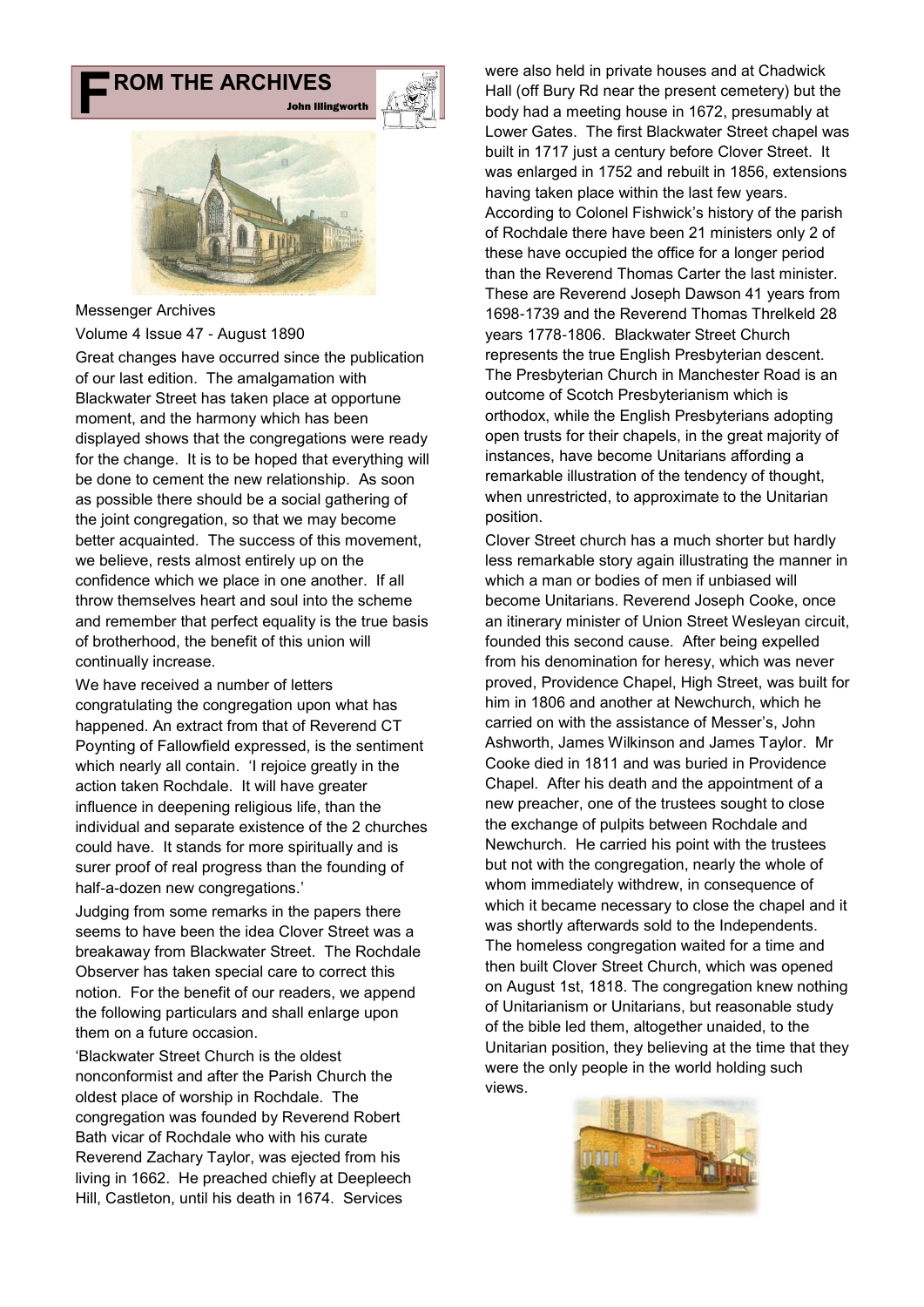## **F ROM THE ARCHIVES**





#### Messenger Archives

Volume 4 Issue 47 - August 1890

Great changes have occurred since the publication of our last edition. The amalgamation with Blackwater Street has taken place at opportune moment, and the harmony which has been displayed shows that the congregations were ready for the change. It is to be hoped that everything will be done to cement the new relationship. As soon as possible there should be a social gathering of the joint congregation, so that we may become better acquainted. The success of this movement, we believe, rests almost entirely up on the confidence which we place in one another. If all throw themselves heart and soul into the scheme and remember that perfect equality is the true basis of brotherhood, the benefit of this union will continually increase.

We have received a number of letters congratulating the congregation upon what has happened. An extract from that of Reverend CT Poynting of Fallowfield expressed, is the sentiment which nearly all contain. 'I rejoice greatly in the action taken Rochdale. It will have greater influence in deepening religious life, than the individual and separate existence of the 2 churches could have. It stands for more spiritually and is surer proof of real progress than the founding of half-a-dozen new congregations.'

Judging from some remarks in the papers there seems to have been the idea Clover Street was a breakaway from Blackwater Street. The Rochdale Observer has taken special care to correct this notion. For the benefit of our readers, we append the following particulars and shall enlarge upon them on a future occasion.

'Blackwater Street Church is the oldest nonconformist and after the Parish Church the oldest place of worship in Rochdale. The congregation was founded by Reverend Robert Bath vicar of Rochdale who with his curate Reverend Zachary Taylor, was ejected from his living in 1662. He preached chiefly at Deepleech Hill, Castleton, until his death in 1674. Services

were also held in private houses and at Chadwick Hall (off Bury Rd near the present cemetery) but the body had a meeting house in 1672, presumably at Lower Gates. The first Blackwater Street chapel was built in 1717 just a century before Clover Street. It was enlarged in 1752 and rebuilt in 1856, extensions having taken place within the last few years. According to Colonel Fishwick's history of the parish of Rochdale there have been 21 ministers only 2 of these have occupied the office for a longer period than the Reverend Thomas Carter the last minister. These are Reverend Joseph Dawson 41 years from 1698-1739 and the Reverend Thomas Threlkeld 28 years 1778-1806. Blackwater Street Church represents the true English Presbyterian descent. The Presbyterian Church in Manchester Road is an outcome of Scotch Presbyterianism which is orthodox, while the English Presbyterians adopting open trusts for their chapels, in the great majority of instances, have become Unitarians affording a remarkable illustration of the tendency of thought, when unrestricted, to approximate to the Unitarian position.

Clover Street church has a much shorter but hardly less remarkable story again illustrating the manner in which a man or bodies of men if unbiased will become Unitarians. Reverend Joseph Cooke, once an itinerary minister of Union Street Wesleyan circuit, founded this second cause. After being expelled from his denomination for heresy, which was never proved, Providence Chapel, High Street, was built for him in 1806 and another at Newchurch, which he carried on with the assistance of Messer's, John Ashworth, James Wilkinson and James Taylor. Mr Cooke died in 1811 and was buried in Providence Chapel. After his death and the appointment of a new preacher, one of the trustees sought to close the exchange of pulpits between Rochdale and Newchurch. He carried his point with the trustees but not with the congregation, nearly the whole of whom immediately withdrew, in consequence of which it became necessary to close the chapel and it was shortly afterwards sold to the Independents. The homeless congregation waited for a time and then built Clover Street Church, which was opened on August 1st, 1818. The congregation knew nothing of Unitarianism or Unitarians, but reasonable study of the bible led them, altogether unaided, to the Unitarian position, they believing at the time that they were the only people in the world holding such views.